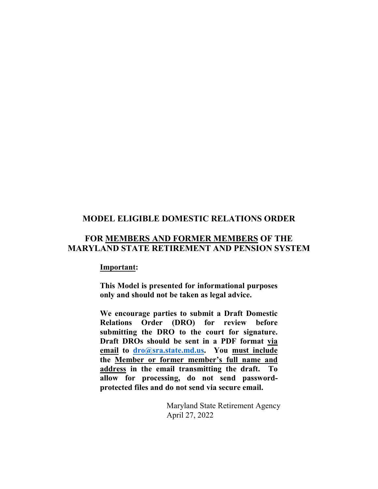## **MODEL ELIGIBLE DOMESTIC RELATIONS ORDER**

# **FOR MEMBERS AND FORMER MEMBERS OF THE MARYLAND STATE RETIREMENT AND PENSION SYSTEM**

#### **Important:**

**This Model is presented for informational purposes only and should not be taken as legal advice.** 

**We encourage parties to submit a Draft Domestic Relations Order (DRO) for review before submitting the DRO to the court for signature. Draft DROs should be sent in a PDF format via email to [dro@sra.state.md.us.](mailto:dro@sra.state.md.us) You must include the Member or former member's full name and address in the email transmitting the draft. To allow for processing, do not send passwordprotected files and do not send via secure email.** 

> Maryland State Retirement Agency April 27, 2022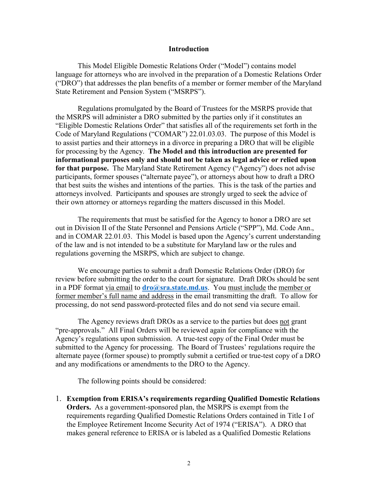#### **Introduction**

 This Model Eligible Domestic Relations Order ("Model") contains model language for attorneys who are involved in the preparation of a Domestic Relations Order ("DRO") that addresses the plan benefits of a member or former member of the Maryland State Retirement and Pension System ("MSRPS").

Regulations promulgated by the Board of Trustees for the MSRPS provide that the MSRPS will administer a DRO submitted by the parties only if it constitutes an "Eligible Domestic Relations Order" that satisfies all of the requirements set forth in the Code of Maryland Regulations ("COMAR") 22.01.03.03. The purpose of this Model is to assist parties and their attorneys in a divorce in preparing a DRO that will be eligible for processing by the Agency. **The Model and this introduction are presented for informational purposes only and should not be taken as legal advice or relied upon for that purpose.** The Maryland State Retirement Agency ("Agency") does not advise participants, former spouses ("alternate payee"), or attorneys about how to draft a DRO that best suits the wishes and intentions of the parties. This is the task of the parties and attorneys involved. Participants and spouses are strongly urged to seek the advice of their own attorney or attorneys regarding the matters discussed in this Model.

The requirements that must be satisfied for the Agency to honor a DRO are set out in Division II of the State Personnel and Pensions Article ("SPP"), Md. Code Ann., and in COMAR 22.01.03. This Model is based upon the Agency's current understanding of the law and is not intended to be a substitute for Maryland law or the rules and regulations governing the MSRPS, which are subject to change.

We encourage parties to submit a draft Domestic Relations Order (DRO) for review before submitting the order to the court for signature. Draft DROs should be sent in a PDF format via email to **[dro@sra.state.md.us](mailto:dro@sra.state.md.us)**. You must include the member or former member's full name and address in the email transmitting the draft. To allow for processing, do not send password-protected files and do not send via secure email.

The Agency reviews draft DROs as a service to the parties but does not grant "pre-approvals." All Final Orders will be reviewed again for compliance with the Agency's regulations upon submission. A true-test copy of the Final Order must be submitted to the Agency for processing. The Board of Trustees' regulations require the alternate payee (former spouse) to promptly submit a certified or true-test copy of a DRO and any modifications or amendments to the DRO to the Agency.

The following points should be considered:

1. **Exemption from ERISA's requirements regarding Qualified Domestic Relations Orders.** As a government-sponsored plan, the MSRPS is exempt from the requirements regarding Qualified Domestic Relations Orders contained in Title I of the Employee Retirement Income Security Act of 1974 ("ERISA"). A DRO that makes general reference to ERISA or is labeled as a Qualified Domestic Relations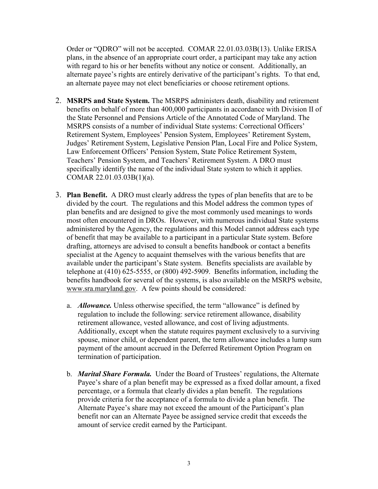Order or "QDRO" will not be accepted. COMAR 22.01.03.03B(13). Unlike ERISA plans, in the absence of an appropriate court order, a participant may take any action with regard to his or her benefits without any notice or consent. Additionally, an alternate payee's rights are entirely derivative of the participant's rights. To that end, an alternate payee may not elect beneficiaries or choose retirement options.

- 2. **MSRPS and State System.** The MSRPS administers death, disability and retirement benefits on behalf of more than 400,000 participants in accordance with Division II of the State Personnel and Pensions Article of the Annotated Code of Maryland. The MSRPS consists of a number of individual State systems: Correctional Officers' Retirement System, Employees' Pension System, Employees' Retirement System, Judges' Retirement System, Legislative Pension Plan, Local Fire and Police System, Law Enforcement Officers' Pension System, State Police Retirement System, Teachers' Pension System, and Teachers' Retirement System. A DRO must specifically identify the name of the individual State system to which it applies. COMAR 22.01.03.03B(1)(a).
- 3. **Plan Benefit.** A DRO must clearly address the types of plan benefits that are to be divided by the court. The regulations and this Model address the common types of plan benefits and are designed to give the most commonly used meanings to words most often encountered in DROs. However, with numerous individual State systems administered by the Agency, the regulations and this Model cannot address each type of benefit that may be available to a participant in a particular State system. Before drafting, attorneys are advised to consult a benefits handbook or contact a benefits specialist at the Agency to acquaint themselves with the various benefits that are available under the participant's State system. Benefits specialists are available by telephone at (410) 625-5555, or (800) 492-5909. Benefits information, including the benefits handbook for several of the systems, is also available on the MSRPS website, www.sra.maryland.gov. A few points should be considered:
	- a. *Allowance.* Unless otherwise specified, the term "allowance" is defined by regulation to include the following: service retirement allowance, disability retirement allowance, vested allowance, and cost of living adjustments. Additionally, except when the statute requires payment exclusively to a surviving spouse, minor child, or dependent parent, the term allowance includes a lump sum payment of the amount accrued in the Deferred Retirement Option Program on termination of participation.
	- b. *Marital Share Formula.*Under the Board of Trustees' regulations, the Alternate Payee's share of a plan benefit may be expressed as a fixed dollar amount, a fixed percentage, or a formula that clearly divides a plan benefit. The regulations provide criteria for the acceptance of a formula to divide a plan benefit. The Alternate Payee's share may not exceed the amount of the Participant's plan benefit nor can an Alternate Payee be assigned service credit that exceeds the amount of service credit earned by the Participant.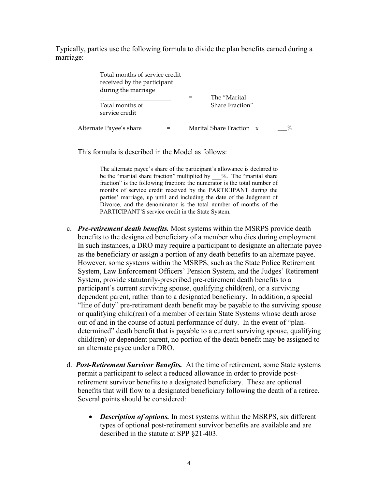Typically, parties use the following formula to divide the plan benefits earned during a marriage:

| Total months of service credit<br>received by the participant<br>during the marriage | The "Marital             |  |
|--------------------------------------------------------------------------------------|--------------------------|--|
| Total months of<br>service credit                                                    | Share Fraction"          |  |
| Alternate Payee's share                                                              | Marital Share Fraction x |  |

This formula is described in the Model as follows:

The alternate payee's share of the participant's allowance is declared to be the "marital share fraction" multiplied by \_\_\_%. The "marital share fraction" is the following fraction: the numerator is the total number of months of service credit received by the PARTICIPANT during the parties' marriage, up until and including the date of the Judgment of Divorce, and the denominator is the total number of months of the PARTICIPANT'S service credit in the State System.

- c. *Pre-retirement death benefits.* Most systems within the MSRPS provide death benefits to the designated beneficiary of a member who dies during employment. In such instances, a DRO may require a participant to designate an alternate payee as the beneficiary or assign a portion of any death benefits to an alternate payee. However, some systems within the MSRPS, such as the State Police Retirement System, Law Enforcement Officers' Pension System, and the Judges' Retirement System, provide statutorily-prescribed pre-retirement death benefits to a participant's current surviving spouse, qualifying child(ren), or a surviving dependent parent, rather than to a designated beneficiary. In addition, a special "line of duty" pre-retirement death benefit may be payable to the surviving spouse or qualifying child(ren) of a member of certain State Systems whose death arose out of and in the course of actual performance of duty. In the event of "plandetermined" death benefit that is payable to a current surviving spouse, qualifying child(ren) or dependent parent, no portion of the death benefit may be assigned to an alternate payee under a DRO.
- d. *Post-Retirement Survivor Benefits.* At the time of retirement, some State systems permit a participant to select a reduced allowance in order to provide postretirement survivor benefits to a designated beneficiary. These are optional benefits that will flow to a designated beneficiary following the death of a retiree. Several points should be considered:
	- *Description of options.* In most systems within the MSRPS, six different types of optional post-retirement survivor benefits are available and are described in the statute at SPP §21-403.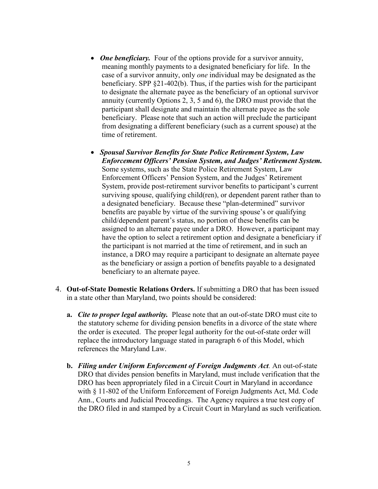- *One beneficiary*. Four of the options provide for a survivor annuity, meaning monthly payments to a designated beneficiary for life. In the case of a survivor annuity, only *one* individual may be designated as the beneficiary. SPP §21-402(b). Thus, if the parties wish for the participant to designate the alternate payee as the beneficiary of an optional survivor annuity (currently Options 2, 3, 5 and 6), the DRO must provide that the participant shall designate and maintain the alternate payee as the sole beneficiary. Please note that such an action will preclude the participant from designating a different beneficiary (such as a current spouse) at the time of retirement.
- *Spousal Survivor Benefits for State Police Retirement System, Law Enforcement Officers' Pension System, and Judges' Retirement System.* Some systems, such as the State Police Retirement System, Law Enforcement Officers' Pension System, and the Judges' Retirement System, provide post-retirement survivor benefits to participant's current surviving spouse, qualifying child(ren), or dependent parent rather than to a designated beneficiary. Because these "plan-determined" survivor benefits are payable by virtue of the surviving spouse's or qualifying child/dependent parent's status, no portion of these benefits can be assigned to an alternate payee under a DRO. However, a participant may have the option to select a retirement option and designate a beneficiary if the participant is not married at the time of retirement, and in such an instance, a DRO may require a participant to designate an alternate payee as the beneficiary or assign a portion of benefits payable to a designated beneficiary to an alternate payee.
- 4. **Out-of-State Domestic Relations Orders.** If submitting a DRO that has been issued in a state other than Maryland, two points should be considered:
	- **a.** *Cite to proper legal authority.* Please note that an out-of-state DRO must cite to the statutory scheme for dividing pension benefits in a divorce of the state where the order is executed. The proper legal authority for the out-of-state order will replace the introductory language stated in paragraph 6 of this Model, which references the Maryland Law.
	- **b.** *Filing under Uniform Enforcement of Foreign Judgments Act.* An out-of-state DRO that divides pension benefits in Maryland, must include verification that the DRO has been appropriately filed in a Circuit Court in Maryland in accordance with § 11-802 of the Uniform Enforcement of Foreign Judgments Act, Md. Code Ann., Courts and Judicial Proceedings. The Agency requires a true test copy of the DRO filed in and stamped by a Circuit Court in Maryland as such verification.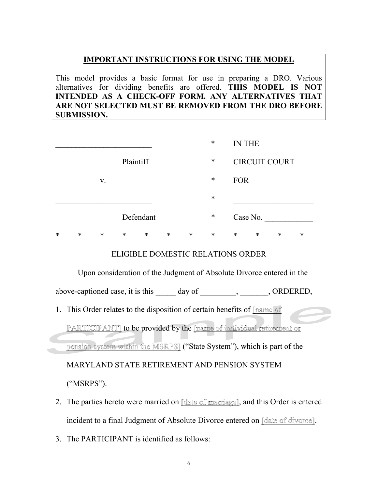#### **IMPORTANT INSTRUCTIONS FOR USING THE MODEL**

This model provides a basic format for use in preparing a DRO. Various alternatives for dividing benefits are offered. **THIS MODEL IS NOT INTENDED AS A CHECK-OFF FORM. ANY ALTERNATIVES THAT ARE NOT SELECTED MUST BE REMOVED FROM THE DRO BEFORE SUBMISSION.**

|   |        |        |           |           |        |        | $\ast$ |            | <b>IN THE</b>        |   |   |
|---|--------|--------|-----------|-----------|--------|--------|--------|------------|----------------------|---|---|
|   |        |        | Plaintiff |           |        |        | $\ast$ |            | <b>CIRCUIT COURT</b> |   |   |
|   |        | V.     |           |           |        |        | $\ast$ | <b>FOR</b> |                      |   |   |
|   |        |        |           |           |        |        | $\ast$ |            |                      |   |   |
|   |        |        |           | Defendant |        |        | $\ast$ |            | Case No.             |   |   |
| * | $\ast$ | $\ast$ | $\ast$    | $\ast$    | $\ast$ | $\ast$ | $\ast$ | $\ast$     | *                    | ∗ | ∗ |

#### ELIGIBLE DOMESTIC RELATIONS ORDER

Upon consideration of the Judgment of Absolute Divorce entered in the

above-captioned case, it is this day of , CRDERED,

1. This Order relates to the disposition of certain benefits of **name** of

PARTICIPANT] to be provided by the [name of individual retirement or pension system within the MSRPS] ("State System"), which is part of the MARYLAND STATE RETIREMENT AND PENSION SYSTEM ("MSRPS").

- 2. The parties hereto were married on [date of marriage], and this Order is entered incident to a final Judgment of Absolute Divorce entered on [date of divorce].
- 3. The PARTICIPANT is identified as follows: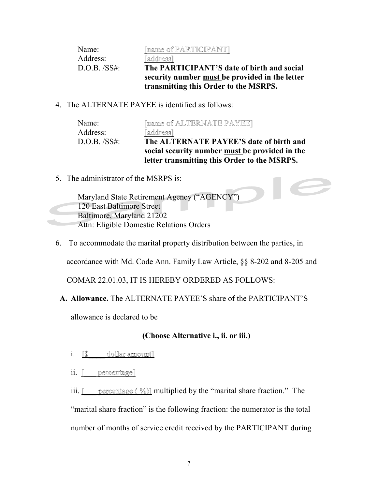| Name:          | [name of PARTICIPANT]                                 |
|----------------|-------------------------------------------------------|
| Address:       | [address]                                             |
| $D.O.B.$ /SS#: | The PARTICIPANT'S date of birth and social            |
|                | security number <u>must</u> be provided in the letter |
|                | transmitting this Order to the MSRPS.                 |

4. The ALTERNATE PAYEE is identified as follows:

| Name:          | [name of ALTERNATE PAYEE]                      |
|----------------|------------------------------------------------|
| Address:       | [address]                                      |
| $D.O.B.$ /SS#: | The ALTERNATE PAYEE'S date of birth and        |
|                | social security number must be provided in the |
|                | letter transmitting this Order to the MSRPS.   |

 $\blacksquare$ 

5. The administrator of the MSRPS is:

Maryland State Retirement Agency ("AGENCY") 120 East Baltimore Street Baltimore, Maryland 21202 Attn: Eligible Domestic Relations Orders

6. To accommodate the marital property distribution between the parties, in

accordance with Md. Code Ann. Family Law Article, §§ 8-202 and 8-205 and

COMAR 22.01.03, IT IS HEREBY ORDERED AS FOLLOWS:

# **A. Allowance.** The ALTERNATE PAYEE'S share of the PARTICIPANT'S

allowance is declared to be

# **(Choose Alternative i., ii. or iii.)**

- i. **S** dollar amount]
- ii. <u>[\_\_\_</u> percentage]

iii.  $\Box$  percentage (%)] multiplied by the "marital share fraction." The

"marital share fraction" is the following fraction: the numerator is the total number of months of service credit received by the PARTICIPANT during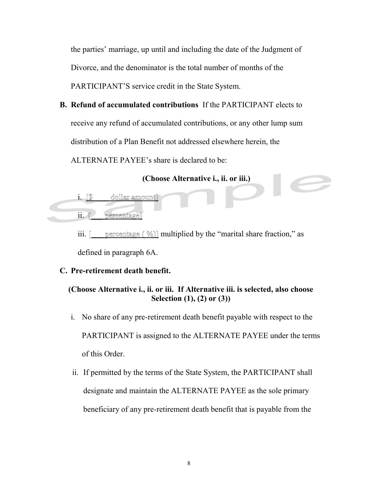the parties' marriage, up until and including the date of the Judgment of Divorce, and the denominator is the total number of months of the PARTICIPANT'S service credit in the State System.

**B. Refund of accumulated contributions** If the PARTICIPANT elects to receive any refund of accumulated contributions, or any other lump sum distribution of a Plan Benefit not addressed elsewhere herein, the ALTERNATE PAYEE's share is declared to be:

### **(Choose Alternative i., ii. or iii.)**

- i. [\$\_\_\_\_\_ dollar amount]
- ii. Percentage]

iii.  $\Box$  percentage  $(\%)$ ] multiplied by the "marital share fraction," as defined in paragraph 6A.

## **C. Pre-retirement death benefit.**

## **(Choose Alternative i., ii. or iii. If Alternative iii. is selected, also choose Selection (1), (2) or (3))**

- i. No share of any pre-retirement death benefit payable with respect to the PARTICIPANT is assigned to the ALTERNATE PAYEE under the terms of this Order.
- ii. If permitted by the terms of the State System, the PARTICIPANT shall designate and maintain the ALTERNATE PAYEE as the sole primary beneficiary of any pre-retirement death benefit that is payable from the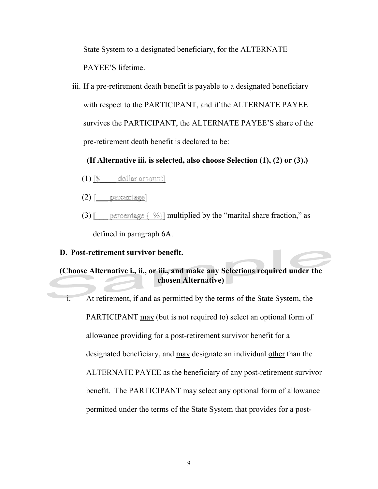State System to a designated beneficiary, for the ALTERNATE PAYEE'S lifetime.

iii. If a pre-retirement death benefit is payable to a designated beneficiary with respect to the PARTICIPANT, and if the ALTERNATE PAYEE survives the PARTICIPANT, the ALTERNATE PAYEE'S share of the pre-retirement death benefit is declared to be:

 **(If Alternative iii. is selected, also choose Selection (1), (2) or (3).)** 

- $(1)$   $\lceil \mathbb{S} \rceil$  dollar amount
- $(2)$  [ percentage]
- (3) [ percentage  $\ll 1$  multiplied by the "marital share fraction," as defined in paragraph 6A.

# **D. Post-retirement survivor benefit.**

# **(Choose Alternative i., ii., or iii., and make any Selections required under the chosen Alternative)**

i. At retirement, if and as permitted by the terms of the State System, the PARTICIPANT may (but is not required to) select an optional form of allowance providing for a post-retirement survivor benefit for a designated beneficiary, and may designate an individual other than the ALTERNATE PAYEE as the beneficiary of any post-retirement survivor benefit.The PARTICIPANT may select any optional form of allowance permitted under the terms of the State System that provides for a post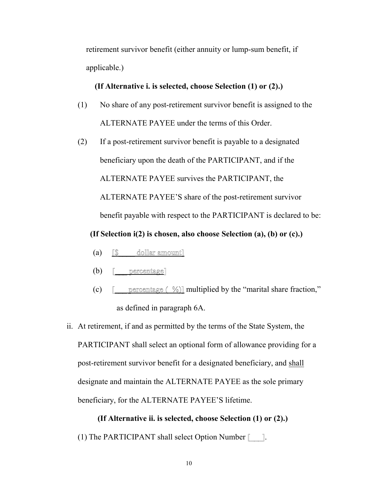retirement survivor benefit (either annuity or lump-sum benefit, if applicable.)

#### **(If Alternative i. is selected, choose Selection (1) or (2).)**

- (1) No share of any post-retirement survivor benefit is assigned to the ALTERNATE PAYEE under the terms of this Order.
- (2) If a post-retirement survivor benefit is payable to a designated beneficiary upon the death of the PARTICIPANT, and if the ALTERNATE PAYEE survives the PARTICIPANT, the ALTERNATE PAYEE'S share of the post-retirement survivor benefit payable with respect to the PARTICIPANT is declared to be:

**(If Selection i(2) is chosen, also choose Selection (a), (b) or (c).)** 

- (a)  $\lceil \mathbb{S} \rceil$  dollar amount]
- $(b)$  [ percentage]
- (c)  $\blacksquare$  percentage  $\blacksquare$  %)] multiplied by the "marital share fraction," as defined in paragraph 6A.
- ii. At retirement, if and as permitted by the terms of the State System, the PARTICIPANT shall select an optional form of allowance providing for a post-retirement survivor benefit for a designated beneficiary, and shall designate and maintain the ALTERNATE PAYEE as the sole primary beneficiary, for the ALTERNATE PAYEE'S lifetime.

**(If Alternative ii. is selected, choose Selection (1) or (2).)**  (1) The PARTICIPANT shall select Option Number [\_\_\_].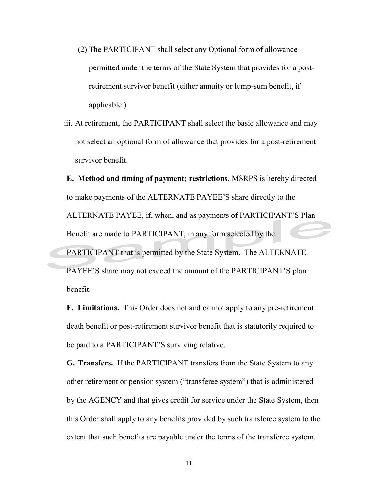- (2) The PARTICIPANT shall select any Optional form of allowance permitted under the terms of the State System that provides for a postretirement survivor benefit (either annuity or lump-sum benefit, if applicable.)
- iii. At retirement, the PARTICIPANT shall select the basic allowance and may not select an optional form of allowance that provides for a post-retirement survivor benefit.

**E. Method and timing of payment; restrictions.** MSRPS is hereby directed to make payments of the ALTERNATE PAYEE'S share directly to the ALTERNATE PAYEE, if, when, and as payments of PARTICIPANT'S Plan Benefit are made to PARTICIPANT, in any form selected by the PARTICIPANT that is permitted by the State System. The ALTERNATE PAYEE'S share may not exceed the amount of the PARTICIPANT'S plan benefit.

**F. Limitations.** This Order does not and cannot apply to any pre-retirement death benefit or post-retirement survivor benefit that is statutorily required to be paid to a PARTICIPANT'S surviving relative.

**G. Transfers.** If the PARTICIPANT transfers from the State System to any other retirement or pension system ("transferee system") that is administered by the AGENCY and that gives credit for service under the State System, then this Order shall apply to any benefits provided by such transferee system to the extent that such benefits are payable under the terms of the transferee system.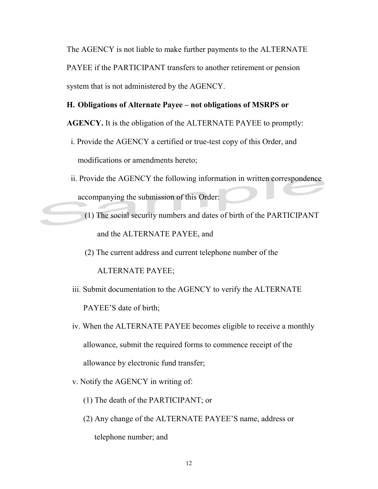The AGENCY is not liable to make further payments to the ALTERNATE PAYEE if the PARTICIPANT transfers to another retirement or pension system that is not administered by the AGENCY.

#### **H. Obligations of Alternate Payee – not obligations of MSRPS or**

**AGENCY.** It is the obligation of the ALTERNATE PAYEE to promptly:

- i. Provide the AGENCY a certified or true-test copy of this Order, and modifications or amendments hereto;
- ii. Provide the AGENCY the following information in written correspondence accompanying the submission of this Order:
	- (1) The social security numbers and dates of birth of the PARTICIPANT and the ALTERNATE PAYEE, and
	- (2) The current address and current telephone number of the

ALTERNATE PAYEE;

- iii. Submit documentation to the AGENCY to verify the ALTERNATE PAYEE'S date of birth;
- iv. When the ALTERNATE PAYEE becomes eligible to receive a monthly allowance, submit the required forms to commence receipt of the allowance by electronic fund transfer;
- v. Notify the AGENCY in writing of:
	- (1) The death of the PARTICIPANT; or
	- (2) Any change of the ALTERNATE PAYEE'S name, address or telephone number; and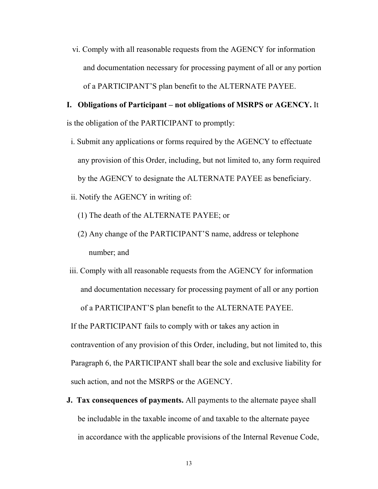vi. Comply with all reasonable requests from the AGENCY for information and documentation necessary for processing payment of all or any portion of a PARTICIPANT'S plan benefit to the ALTERNATE PAYEE.

# **I. Obligations of Participant – not obligations of MSRPS or AGENCY.** It is the obligation of the PARTICIPANT to promptly:

- i. Submit any applications or forms required by the AGENCY to effectuate any provision of this Order, including, but not limited to, any form required by the AGENCY to designate the ALTERNATE PAYEE as beneficiary.
- ii. Notify the AGENCY in writing of:
	- (1) The death of the ALTERNATE PAYEE; or
	- (2) Any change of the PARTICIPANT'S name, address or telephone number; and
- iii. Comply with all reasonable requests from the AGENCY for information and documentation necessary for processing payment of all or any portion of a PARTICIPANT'S plan benefit to the ALTERNATE PAYEE.

If the PARTICIPANT fails to comply with or takes any action in contravention of any provision of this Order, including, but not limited to, this Paragraph 6, the PARTICIPANT shall bear the sole and exclusive liability for such action, and not the MSRPS or the AGENCY.

**J. Tax consequences of payments.** All payments to the alternate payee shall be includable in the taxable income of and taxable to the alternate payee in accordance with the applicable provisions of the Internal Revenue Code,

13